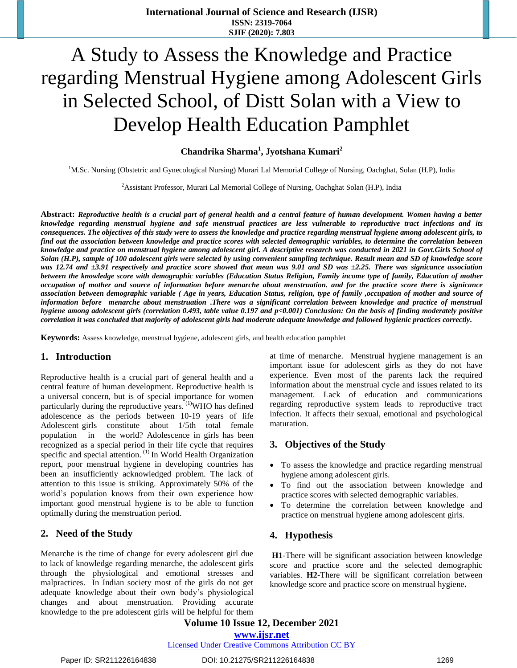# A Study to Assess the Knowledge and Practice regarding Menstrual Hygiene among Adolescent Girls in Selected School, of Distt Solan with a View to Develop Health Education Pamphlet

**Chandrika Sharma<sup>1</sup> , Jyotshana Kumari<sup>2</sup>**

<sup>1</sup>M.Sc. Nursing (Obstetric and Gynecological Nursing) Murari Lal Memorial College of Nursing, Oachghat, Solan (H.P), India

<sup>2</sup>Assistant Professor, Murari Lal Memorial College of Nursing, Oachghat Solan (H.P), India

**Abstract:** *Reproductive health is a crucial part of general health and a central feature of human development. Women having a better knowledge regarding menstrual hygiene and safe menstrual practices are less vulnerable to reproductive tract infections and its consequences. The objectives of this study were to assess the knowledge and practice regarding menstrual hygiene among adolescent girls, to find out the association between knowledge and practice scores with selected demographic variables, to determine the correlation between knowledge and practice on menstrual hygiene among adolescent girl. A descriptive research was conducted in 2021 in Govt.Girls School of Solan (H.P), sample of 100 adolescent girls were selected by using convenient sampling technique. Result mean and SD of knowledge score was 12.74 and ±3.91 respectively and practice score showed that mean was 9.01 and SD was ±2.25. There was signicance association between the knowledge score with demographic variables (Education Status Religion, Family income type of family, Education of mother occupation of mother and source of information before menarche about menstruation. and for the practice score there is signicance association between demographic variable ( Age in years, Education Status, religion, type of family ,occupation of mother and source of information before menarche about menstruation* **.***There was a significant correlation between knowledge and practice of menstrual hygiene among adolescent girls (correlation 0.493, table value 0.197 and p<0.001) Conclusion: On the basis of finding moderately positive correlation it was concluded that majority of adolescent girls had moderate adequate knowledge and followed hygienic practices correctly.* 

**Keywords:** Assess knowledge, menstrual hygiene, adolescent girls, and health education pamphlet

# **1. Introduction**

Reproductive health is a crucial part of general health and a central feature of human development. Reproductive health is a universal concern, but is of special importance for women particularly during the reproductive years. <sup>(1)</sup>WHO has defined adolescence as the periods between 10-19 years of life Adolescent girls constitute about 1/5th total female population in the world? Adolescence in girls has been recognized as a special period in their life cycle that requires specific and special attention.<sup>(1)</sup> In World Health Organization report, poor menstrual hygiene in developing countries has been an insufficiently acknowledged problem. The lack of attention to this issue is striking. Approximately 50% of the world's population knows from their own experience how important good menstrual hygiene is to be able to function optimally during the menstruation period.

# **2. Need of the Study**

Menarche is the time of change for every adolescent girl due to lack of knowledge regarding menarche, the adolescent girls through the physiological and emotional stresses and malpractices. In Indian society most of the girls do not get adequate knowledge about their own body's physiological changes and about menstruation. Providing accurate knowledge to the pre adolescent girls will be helpful for them

at time of menarche. Menstrual hygiene management is an important issue for adolescent girls as they do not have experience. Even most of the parents lack the required information about the menstrual cycle and issues related to its management. Lack of education and communications regarding reproductive system leads to reproductive tract infection. It affects their sexual, emotional and psychological maturation.

#### **3. Objectives of the Study**

- To assess the knowledge and practice regarding menstrual hygiene among adolescent girls.
- To find out the association between knowledge and practice scores with selected demographic variables.
- To determine the correlation between knowledge and practice on menstrual hygiene among adolescent girls.

# **4. Hypothesis**

**H1**-There will be significant association between knowledge score and practice score and the selected demographic variables. **H2**-There will be significant correlation between knowledge score and practice score on menstrual hygiene**.** 

**Volume 10 Issue 12, December 2021 www.ijsr.net** Licensed Under Creative Commons Attribution CC BY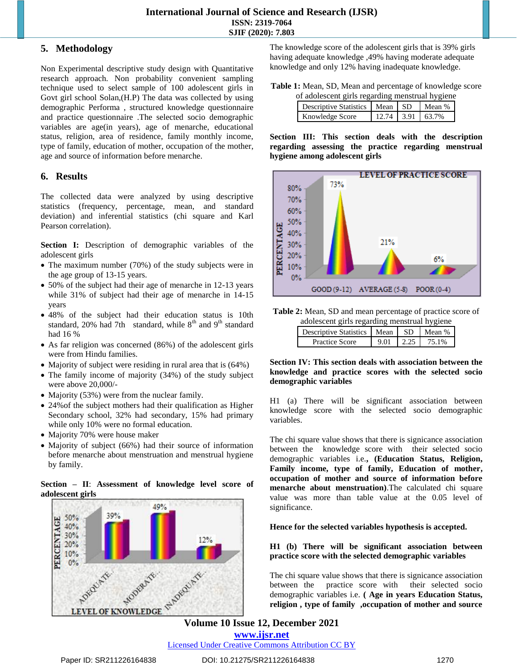# **5. Methodology**

Non Experimental descriptive study design with Quantitative research approach. Non probability convenient sampling technique used to select sample of 100 adolescent girls in Govt girl school Solan,(H.P) The data was collected by using demographic Performa , structured knowledge questionnaire and practice questionnaire .The selected socio demographic variables are age(in years), age of menarche, educational status, religion, area of residence, family monthly income, type of family, education of mother, occupation of the mother, age and source of information before menarche.

# **6. Results**

The collected data were analyzed by using descriptive statistics (frequency, percentage, mean, and standard deviation) and inferential statistics (chi square and Karl Pearson correlation).

**Section I:** Description of demographic variables of the adolescent girls

- The maximum number (70%) of the study subjects were in the age group of 13-15 years.
- 50% of the subject had their age of menarche in 12-13 years while 31% of subject had their age of menarche in 14-15 years
- 48% of the subject had their education status is 10th standard, 20% had 7th standard, while  $8<sup>th</sup>$  and  $9<sup>th</sup>$  standard had 16 %
- As far religion was concerned (86%) of the adolescent girls were from Hindu families.
- Majority of subject were residing in rural area that is  $(64%)$
- The family income of majority (34%) of the study subject were above 20,000/-
- Majority (53%) were from the nuclear family.
- 24%of the subject mothers had their qualification as Higher Secondary school, 32% had secondary, 15% had primary while only 10% were no formal education.
- Majority 70% were house maker
- Majority of subject (66%) had their source of information before menarche about menstruation and menstrual hygiene by family.





The knowledge score of the adolescent girls that is 39% girls having adequate knowledge ,49% having moderate adequate knowledge and only 12% having inadequate knowledge.

**Table 1:** Mean, SD, Mean and percentage of knowledge score of adolescent girls regarding menstrual hygiene

| of adolescent girls regarding memorian if givile |                                    |  |  |                    |  |  |
|--------------------------------------------------|------------------------------------|--|--|--------------------|--|--|
|                                                  | Descriptive Statistics   Mean   SD |  |  | Mean %             |  |  |
|                                                  | Knowledge Score                    |  |  | $12.74$ 3.91 63.7% |  |  |

**Section III: This section deals with the description regarding assessing the practice regarding menstrual hygiene among adolescent girls**



**Table 2:** Mean, SD and mean percentage of practice score of adolescent girls regarding menstrual hygiene

| Descriptive Statistics   Mean |      | I SD. | $Mean \%$ |
|-------------------------------|------|-------|-----------|
| Practice Score                | 9.01 | 2.25  | 75 1%     |

### **Section IV: This section deals with association between the knowledge and practice scores with the selected socio demographic variables**

H1 (a) There will be significant association between knowledge score with the selected socio demographic variables.

The chi square value shows that there is signicance association between the knowledge score with their selected socio demographic variables i.e.**, (Education Status, Religion, Family income, type of family, Education of mother, occupation of mother and source of information before menarche about menstruation)**.The calculated chi square value was more than table value at the 0.05 level of significance.

**Hence for the selected variables hypothesis is accepted.**

**H1 (b) There will be significant association between practice score with the selected demographic variables**

The chi square value shows that there is signicance association between the practice score with their selected socio demographic variables i.e. **( Age in years Education Status, religion , type of family ,occupation of mother and source** 

**Volume 10 Issue 12, December 2021 www.ijsr.net** Licensed Under Creative Commons Attribution CC BY